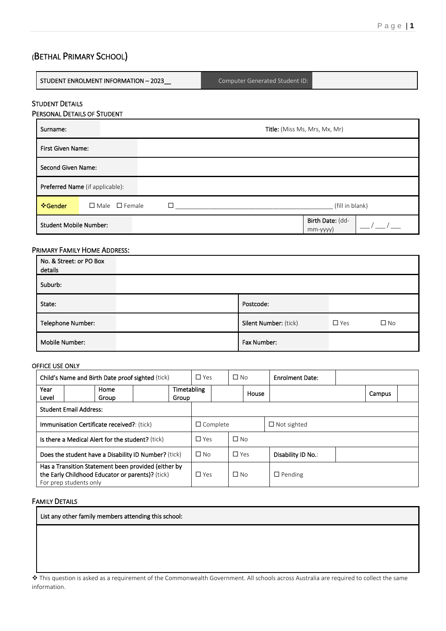# (BETHAL PRIMARY SCHOOL)

| STUDENT ENROLMENT INFORMATION - 2023                  | Computer Generated Student ID:     |  |  |  |  |  |
|-------------------------------------------------------|------------------------------------|--|--|--|--|--|
| <b>STUDENT DETAILS</b><br>PERSONAL DETAILS OF STUDENT |                                    |  |  |  |  |  |
|                                                       | Title: (Miss Ms, Mrs, Mx, Mr)      |  |  |  |  |  |
| <b>First Given Name:</b>                              |                                    |  |  |  |  |  |
| Second Given Name:                                    |                                    |  |  |  |  |  |
| Preferred Name (if applicable):                       |                                    |  |  |  |  |  |
| $\Box$ Male $\Box$ Female                             | (fill in blank)                    |  |  |  |  |  |
| <b>Student Mobile Number:</b>                         | Birth Date: (dd-<br>$mm$ -yyyy $)$ |  |  |  |  |  |
|                                                       |                                    |  |  |  |  |  |

#### PRIMARY FAMILY HOME ADDRESS:

| No. & Street: or PO Box<br>details |                       |            |              |
|------------------------------------|-----------------------|------------|--------------|
| Suburb:                            |                       |            |              |
| State:                             | Postcode:             |            |              |
| Telephone Number:                  | Silent Number: (tick) | $\Box$ Yes | $\square$ No |
| Mobile Number:                     | Fax Number:           |            |              |

#### OFFICE USE ONLY

|                                                                                                                                   | <b>Child's Name and Birth Date proof sighted (tick)</b> |            | $\Box$ Yes           |                 | $\Box$ No  |                | <b>Enrolment Date:</b> |  |        |  |
|-----------------------------------------------------------------------------------------------------------------------------------|---------------------------------------------------------|------------|----------------------|-----------------|------------|----------------|------------------------|--|--------|--|
| Year<br>Level                                                                                                                     | Home<br>Group                                           |            | Timetabling<br>Group |                 |            |                | House                  |  | Campus |  |
|                                                                                                                                   | <b>Student Email Address:</b>                           |            |                      |                 |            |                |                        |  |        |  |
| Immunisation Certificate received?: (tick)                                                                                        |                                                         |            |                      | $\Box$ Complete |            |                | $\Box$ Not sighted     |  |        |  |
| Is there a Medical Alert for the student? (tick)                                                                                  |                                                         |            | $\Box$ Yes           |                 | $\Box$ No  |                |                        |  |        |  |
| Does the student have a Disability ID Number? (tick)                                                                              |                                                         |            | $\square$ No         |                 | $\Box$ Yes |                | Disability ID No.:     |  |        |  |
| Has a Transition Statement been provided (either by<br>the Early Childhood Educator or parents)? (tick)<br>For prep students only |                                                         | $\Box$ Yes |                      | $\Box$ No       |            | $\Box$ Pending |                        |  |        |  |

#### FAMILY DETAILS

List any other family members attending this school:

❖ This question is asked as a requirement of the Commonwealth Government. All schools across Australia are required to collect the same information.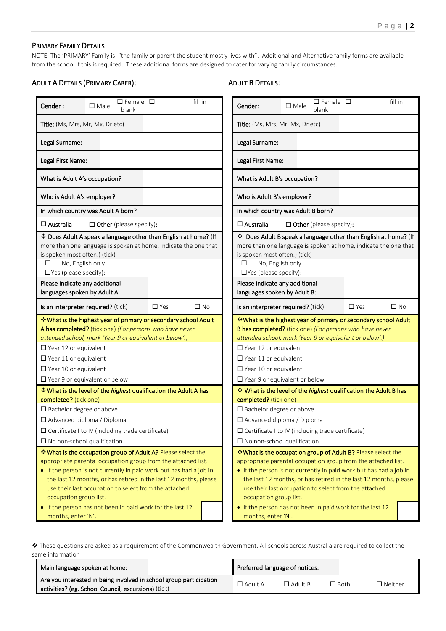#### PRIMARY FAMILY DETAILS

NOTE: The 'PRIMARY' Family is: "the family or parent the student mostly lives with". Additional and Alternative family forms are available from the school if this is required. These additional forms are designed to cater for varying family circumstances.

#### ADULT A DETAILS (PRIMARY CARER):

#### ADULT B DETAILS:

| $\square$ Female $\square$                                                     | $\square$ Female $\square$                                           |
|--------------------------------------------------------------------------------|----------------------------------------------------------------------|
| fill in                                                                        | fill in                                                              |
| Gender:                                                                        | Gender:                                                              |
| $\square$ Male                                                                 | $\square$ Male                                                       |
| blank                                                                          | blank                                                                |
| Title: (Ms, Mrs, Mr, Mx, Dr etc)                                               | Title: (Ms, Mrs, Mr, Mx, Dr etc)                                     |
| Legal Surname:                                                                 | Legal Surname:                                                       |
| Legal First Name:                                                              | Legal First Name:                                                    |
| What is Adult A's occupation?                                                  | What is Adult B's occupation?                                        |
| Who is Adult A's employer?                                                     | Who is Adult B's employer?                                           |
| In which country was Adult A born?                                             | In which country was Adult B born?                                   |
| $\square$ Australia                                                            | $\Box$ Australia                                                     |
| $\Box$ Other (please specify):                                                 | $\Box$ Other (please specify):                                       |
| * Does Adult A speak a language other than English at home? (If                | Does Adult B speak a language other than English at home? (If        |
| more than one language is spoken at home, indicate the one that                | more than one language is spoken at home, indicate the one that      |
| is spoken most often.) (tick)                                                  | is spoken most often.) (tick)                                        |
| No, English only                                                               | No, English only                                                     |
| ◻                                                                              | ◻                                                                    |
| $\Box$ Yes (please specify):                                                   | $\Box$ Yes (please specify):                                         |
| Please indicate any additional                                                 | Please indicate any additional                                       |
| languages spoken by Adult A:                                                   | languages spoken by Adult B:                                         |
| $\Box$ Yes                                                                     | $\Box$ Yes                                                           |
| $\square$ No                                                                   | $\square$ No                                                         |
| Is an interpreter required? (tick)                                             | Is an interpreter required? (tick)                                   |
| ❖ What is the highest year of primary or secondary school Adult                | * What is the highest year of primary or secondary school Adult      |
| A has completed? (tick one) (For persons who have never                        | B has completed? (tick one) (For persons who have never              |
| attended school, mark 'Year 9 or equivalent or below'.)                        | attended school, mark 'Year 9 or equivalent or below'.)              |
| $\square$ Year 12 or equivalent                                                | $\square$ Year 12 or equivalent                                      |
| $\Box$ Year 11 or equivalent                                                   | $\Box$ Year 11 or equivalent                                         |
| $\Box$ Year 10 or equivalent                                                   | $\Box$ Year 10 or equivalent                                         |
| $\Box$ Year 9 or equivalent or below                                           | $\Box$ Year 9 or equivalent or below                                 |
| <b>V</b> What is the level of the <i>highest</i> qualification the Adult A has | * What is the level of the highest qualification the Adult B has     |
| completed? (tick one)                                                          | completed? (tick one)                                                |
| $\square$ Bachelor degree or above                                             | □ Bachelor degree or above                                           |
| $\Box$ Advanced diploma / Diploma                                              | $\Box$ Advanced diploma / Diploma                                    |
| $\square$ Certificate I to IV (including trade certificate)                    | $\square$ Certificate I to IV (including trade certificate)          |
| $\Box$ No non-school qualification                                             | $\square$ No non-school qualification                                |
| *What is the occupation group of Adult A? Please select the                    | <b>Ve What is the occupation group of Adult B?</b> Please select the |
| appropriate parental occupation group from the attached list.                  | appropriate parental occupation group from the attached list.        |
| • If the person is not currently in paid work but has had a job in             | • If the person is not currently in paid work but has had a job in   |
| the last 12 months, or has retired in the last 12 months, please               | the last 12 months, or has retired in the last 12 months, please     |
| use their last occupation to select from the attached                          | use their last occupation to select from the attached                |
| occupation group list.                                                         | occupation group list.                                               |
| • If the person has not been in paid work for the last 12                      | • If the person has not been in paid work for the last 12            |
| months, enter 'N'.                                                             | months, enter 'N'.                                                   |

❖ These questions are asked as a requirement of the Commonwealth Government. All schools across Australia are required to collect the same information

| Main language spoken at home:                                      |                | Preferred language of notices: |             |                |
|--------------------------------------------------------------------|----------------|--------------------------------|-------------|----------------|
| Are you interested in being involved in school group participation | $\Box$ Adult A | $\Box$ Adult B                 | $\Box$ Both | $\Box$ Neither |
| activities? (eg. School Council, excursions) (tick)                |                |                                |             |                |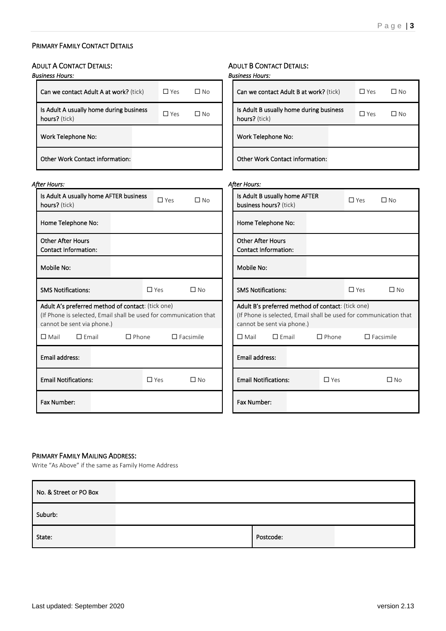## PRIMARY FAMILY CONTACT DETAILS

| <b>ADULT A CONTACT DETAILS:</b>                                   | <b>ADULT B CONTACT DETAILS:</b>                                   |
|-------------------------------------------------------------------|-------------------------------------------------------------------|
| <b>Business Hours:</b>                                            | <b>Business Hours:</b>                                            |
| Can we contact Adult A at work? (tick)                            | Can we contact Adult B at work? (tick)                            |
| $\Box$ Yes                                                        | $\Box$ Yes                                                        |
| $\square$ No                                                      | $\square$ No                                                      |
| Is Adult A usually home during business                           | Is Adult B usually home during business                           |
| $\Box$ Yes                                                        | $\Box$ Yes                                                        |
| $\square$ No                                                      | $\square$ No                                                      |
| hours? (tick)                                                     | hours? (tick)                                                     |
| Work Telephone No:                                                | Work Telephone No:                                                |
| <b>Other Work Contact information:</b>                            | <b>Other Work Contact information:</b>                            |
| <b>After Hours:</b>                                               | <b>After Hours:</b>                                               |
| Is Adult A usually home AFTER business                            | Is Adult B usually home AFTER                                     |
| $\square$ Yes                                                     | $\Box$ Yes                                                        |
| $\square$ No                                                      | $\square$ No                                                      |
| hours? (tick)                                                     | business hours? (tick)                                            |
| Home Telephone No:                                                | Home Telephone No:                                                |
| <b>Other After Hours</b>                                          | <b>Other After Hours</b>                                          |
| <b>Contact Information:</b>                                       | <b>Contact Information:</b>                                       |
| Mobile No:                                                        | Mobile No:                                                        |
| <b>SMS Notifications:</b>                                         | <b>SMS Notifications:</b>                                         |
| $\Box$ Yes                                                        | $\Box$ Yes                                                        |
| $\Box$ No                                                         | $\Box$ No                                                         |
| Adult A's preferred method of contact: (tick one)                 | Adult B's preferred method of contact: (tick one)                 |
| (If Phone is selected, Email shall be used for communication that | (If Phone is selected, Email shall be used for communication that |
| cannot be sent via phone.)                                        | cannot be sent via phone.)                                        |
| $\Box$ Mail                                                       | $\Box$ Mail                                                       |
| $\Box$ Email                                                      | $\square$ Facsimile                                               |
| $\Box$ Phone                                                      | $\square$ Email                                                   |
| $\square$ Facsimile                                               | $\Box$ Phone                                                      |
| Email address:                                                    | Email address:                                                    |
| <b>Email Notifications:</b>                                       | <b>Email Notifications:</b>                                       |
| $\Box$ Yes                                                        | $\Box$ Yes                                                        |
| $\square$ No                                                      | $\square$ No                                                      |
| Fax Number:                                                       | Fax Number:                                                       |

### PRIMARY FAMILY MAILING ADDRESS:

Write "As Above" if the same as Family Home Address

| No. & Street or PO Box |           |  |
|------------------------|-----------|--|
| Suburb:                |           |  |
| State:                 | Postcode: |  |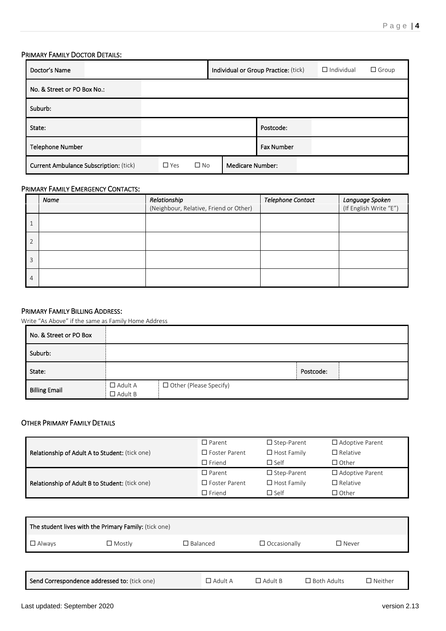## PRIMARY FAMILY DOCTOR DETAILS:

| Doctor's Name                                 |                            | Individual or Group Practice: (tick) | $\Box$ Individual | $\Box$ Group |  |
|-----------------------------------------------|----------------------------|--------------------------------------|-------------------|--------------|--|
| No. & Street or PO Box No.:                   |                            |                                      |                   |              |  |
| Suburb:                                       |                            |                                      |                   |              |  |
| State:                                        |                            |                                      | Postcode:         |              |  |
| Telephone Number                              |                            |                                      | <b>Fax Number</b> |              |  |
| <b>Current Ambulance Subscription: (tick)</b> | $\square$ No<br>$\Box$ Yes | <b>Medicare Number:</b>              |                   |              |  |

#### PRIMARY FAMILY EMERGENCY CONTACTS:

|                | Name | Relationship<br>(Neighbour, Relative, Friend or Other) | Telephone Contact | Language Spoken<br>(If English Write "E") |
|----------------|------|--------------------------------------------------------|-------------------|-------------------------------------------|
|                |      |                                                        |                   |                                           |
| $\overline{2}$ |      |                                                        |                   |                                           |
| 3              |      |                                                        |                   |                                           |
| $\overline{4}$ |      |                                                        |                   |                                           |

#### PRIMARY FAMILY BILLING ADDRESS:

Write "As Above" if the same as Family Home Address

| No. & Street or PO Box |                                  |                          |           |  |
|------------------------|----------------------------------|--------------------------|-----------|--|
| Suburb:                |                                  |                          |           |  |
| State:                 |                                  |                          | Postcode: |  |
| <b>Billing Email</b>   | $\Box$ Adult A<br>$\Box$ Adult B | □ Other (Please Specify) |           |  |

#### OTHER PRIMARY FAMILY DETAILS

|                                                | $\Box$ Parent        | $\Box$ Step-Parent | $\Box$ Adoptive Parent |
|------------------------------------------------|----------------------|--------------------|------------------------|
| Relationship of Adult A to Student: (tick one) | $\Box$ Foster Parent | $\Box$ Host Family | $\Box$ Relative        |
|                                                | $\Box$ Friend        | $\Box$ Self        | $\Box$ Other           |
|                                                | $\Box$ Parent        | $\Box$ Step-Parent | $\Box$ Adoptive Parent |
| Relationship of Adult B to Student: (tick one) | $\Box$ Foster Parent | $\Box$ Host Family |                        |
|                                                |                      |                    | $\Box$ Relative        |

| The student lives with the Primary Family: (tick one) |                                              |                 |                     |                    |                |  |  |  |
|-------------------------------------------------------|----------------------------------------------|-----------------|---------------------|--------------------|----------------|--|--|--|
| $\Box$ Always                                         | $\Box$ Mostly                                | $\Box$ Balanced | $\Box$ Occasionally | $\square$ Never    |                |  |  |  |
|                                                       |                                              |                 |                     |                    |                |  |  |  |
|                                                       | Send Correspondence addressed to: (tick one) | $\Box$ Adult A  | $\Box$ Adult B      | $\Box$ Both Adults | $\Box$ Neither |  |  |  |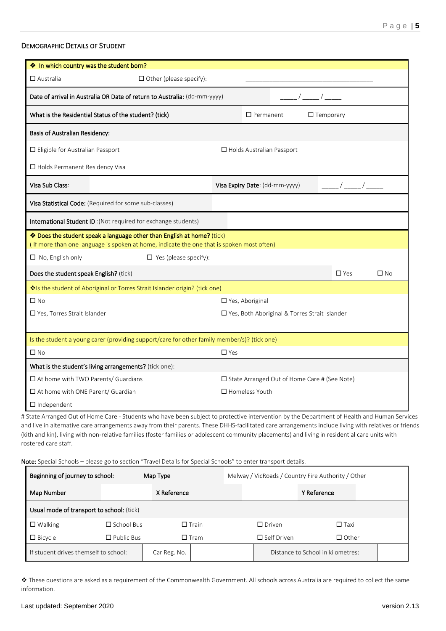#### DEMOGRAPHIC DETAILS OF STUDENT

| ◆ In which country was the student born?                                                                                                                            |                                |                                  |                                                 |                  |              |
|---------------------------------------------------------------------------------------------------------------------------------------------------------------------|--------------------------------|----------------------------------|-------------------------------------------------|------------------|--------------|
| $\Box$ Australia                                                                                                                                                    | $\Box$ Other (please specify): |                                  |                                                 |                  |              |
| Date of arrival in Australia OR Date of return to Australia: (dd-mm-yyyy)                                                                                           |                                |                                  |                                                 |                  |              |
| What is the Residential Status of the student? (tick)                                                                                                               |                                | $\Box$ Permanent                 |                                                 | $\Box$ Temporary |              |
| <b>Basis of Australian Residency:</b>                                                                                                                               |                                |                                  |                                                 |                  |              |
| $\Box$ Eligible for Australian Passport                                                                                                                             |                                | $\Box$ Holds Australian Passport |                                                 |                  |              |
| $\Box$ Holds Permanent Residency Visa                                                                                                                               |                                |                                  |                                                 |                  |              |
| Visa Sub Class:                                                                                                                                                     |                                | Visa Expiry Date: (dd-mm-yyyy)   |                                                 |                  |              |
| Visa Statistical Code: (Required for some sub-classes)                                                                                                              |                                |                                  |                                                 |                  |              |
| International Student ID: (Not required for exchange students)                                                                                                      |                                |                                  |                                                 |                  |              |
| * Does the student speak a language other than English at home? (tick)<br>(If more than one language is spoken at home, indicate the one that is spoken most often) |                                |                                  |                                                 |                  |              |
| $\Box$ No, English only                                                                                                                                             | $\Box$ Yes (please specify):   |                                  |                                                 |                  |              |
| Does the student speak English? (tick)                                                                                                                              |                                |                                  |                                                 | $\Box$ Yes       | $\square$ No |
| Vols the student of Aboriginal or Torres Strait Islander origin? (tick one)                                                                                         |                                |                                  |                                                 |                  |              |
| $\Box$ No                                                                                                                                                           |                                | □ Yes, Aboriginal                |                                                 |                  |              |
| □ Yes, Torres Strait Islander                                                                                                                                       |                                |                                  | □ Yes, Both Aboriginal & Torres Strait Islander |                  |              |
| Is the student a young carer (providing support/care for other family member/s)? (tick one)                                                                         |                                |                                  |                                                 |                  |              |
| $\Box$ No                                                                                                                                                           |                                | $\Box$ Yes                       |                                                 |                  |              |
| What is the student's living arrangements? (tick one):                                                                                                              |                                |                                  |                                                 |                  |              |
| $\Box$ At home with TWO Parents/ Guardians                                                                                                                          |                                |                                  | □ State Arranged Out of Home Care # (See Note)  |                  |              |
| $\Box$ At home with ONE Parent/ Guardian                                                                                                                            |                                | $\Box$ Homeless Youth            |                                                 |                  |              |
| $\Box$ Independent                                                                                                                                                  |                                |                                  |                                                 |                  |              |

# State Arranged Out of Home Care - Students who have been subject to protective intervention by the Department of Health and Human Services and live in alternative care arrangements away from their parents. These DHHS-facilitated care arrangements include living with relatives or friends (kith and kin), living with non-relative families (foster families or adolescent community placements) and living in residential care units with rostered care staff.

Note: Special Schools – please go to section "Travel Details for Special Schools" to enter transport details.

| Beginning of journey to school:<br>Map Type |                   |              |                 | Melway / VicRoads / Country Fire Authority / Other |                    |                                   |  |
|---------------------------------------------|-------------------|--------------|-----------------|----------------------------------------------------|--------------------|-----------------------------------|--|
| Map Number                                  |                   | X Reference  |                 |                                                    |                    | Y Reference                       |  |
| Usual mode of transport to school: (tick)   |                   |              |                 |                                                    |                    |                                   |  |
| $\Box$ Walking                              | $\Box$ School Bus |              | $\square$ Train |                                                    | $\Box$ Driven      | $\Box$ Taxi                       |  |
| $\Box$ Bicycle                              | $\Box$ Public Bus |              | $\square$ Tram  |                                                    | $\Box$ Self Driven | $\Box$ Other                      |  |
| If student drives themself to school:       |                   | Car Reg. No. |                 |                                                    |                    | Distance to School in kilometres: |  |

❖ These questions are asked as a requirement of the Commonwealth Government. All schools across Australia are required to collect the same information.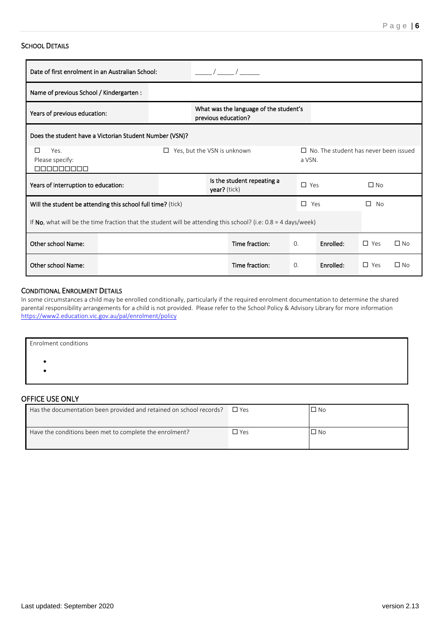#### SCHOOL DETAILS

| Date of first enrolment in an Australian School:                                             |                                                                                                                  |  |                            |                                              |                |           |                |              |
|----------------------------------------------------------------------------------------------|------------------------------------------------------------------------------------------------------------------|--|----------------------------|----------------------------------------------|----------------|-----------|----------------|--------------|
| Name of previous School / Kindergarten :                                                     |                                                                                                                  |  |                            |                                              |                |           |                |              |
| Years of previous education:                                                                 | What was the language of the student's<br>previous education?                                                    |  |                            |                                              |                |           |                |              |
|                                                                                              | Does the student have a Victorian Student Number (VSN)?                                                          |  |                            |                                              |                |           |                |              |
| Yes, but the VSN is unknown<br>Yes.<br>П<br>$\Box$<br>Please specify:<br>a VSN.<br>manananan |                                                                                                                  |  |                            | $\Box$ No. The student has never been issued |                |           |                |              |
| Years of interruption to education:<br>year? (tick)                                          |                                                                                                                  |  | Is the student repeating a | $\Box$ Yes                                   |                | $\Box$ No |                |              |
| Will the student be attending this school full time? (tick)                                  |                                                                                                                  |  |                            |                                              | П.<br>Yes      |           | <b>No</b><br>п |              |
|                                                                                              | If No, what will be the time fraction that the student will be attending this school? (i.e: $0.8 = 4$ days/week) |  |                            |                                              |                |           |                |              |
| Other school Name:                                                                           |                                                                                                                  |  |                            | Time fraction:                               | $\mathbf{0}$ . | Enrolled: | $\Box$ Yes     | $\square$ No |
| Other school Name:                                                                           |                                                                                                                  |  |                            | Time fraction:                               | $\Omega$ .     | Enrolled: | $\Box$ Yes     | $\square$ No |

## CONDITIONAL ENROLMENT DETAILS

In some circumstances a child may be enrolled conditionally, particularly if the required enrolment documentation to determine the shared parental responsibility arrangements for a child is not provided. Please refer to the School Policy & Advisory Library for more information <https://www2.education.vic.gov.au/pal/enrolment/policy>

| <b>Enrolment conditions</b> |  |  |
|-----------------------------|--|--|
|                             |  |  |
|                             |  |  |

## OFFICE USE ONLY

| Has the documentation been provided and retained on school records? | $\square$ Yes | $\square$ No |
|---------------------------------------------------------------------|---------------|--------------|
| Have the conditions been met to complete the enrolment?             | ∃ Yes         | $\square$ No |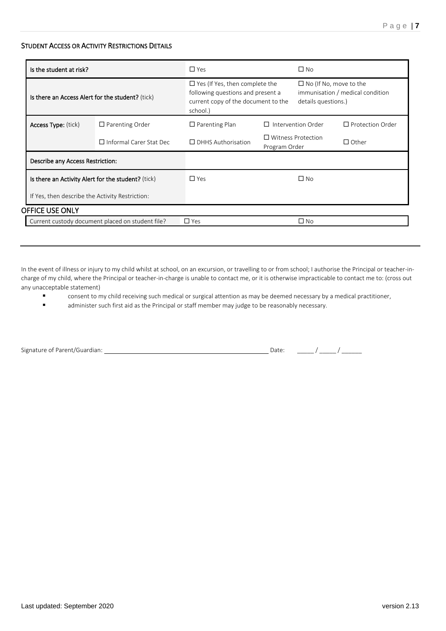#### STUDENT ACCESS OR ACTIVITY RESTRICTIONS DETAILS

| $\Box$ Yes (If Yes, then complete the<br>$\Box$ No (If No, move to the<br>following questions and present a<br>immunisation / medical condition<br>Is there an Access Alert for the student? (tick)<br>current copy of the document to the<br>details questions.)<br>school.)<br>Intervention Order<br>$\Box$ Protection Order<br><b>Access Type:</b> (tick)<br>$\Box$ Parenting Order<br>$\Box$ Parenting Plan<br>П.<br>$\Box$ Witness Protection<br>$\Box$ Informal Carer Stat Dec<br>$\Box$ DHHS Authorisation<br>$\Box$ Other<br>Program Order<br>Describe any Access Restriction:<br>$\Box$ No<br>$\Box$ Yes<br>Is there an Activity Alert for the student? (tick)<br>If Yes, then describe the Activity Restriction: | Is the student at risk? |  | $\Box$ Yes | $\square$ No |  |
|----------------------------------------------------------------------------------------------------------------------------------------------------------------------------------------------------------------------------------------------------------------------------------------------------------------------------------------------------------------------------------------------------------------------------------------------------------------------------------------------------------------------------------------------------------------------------------------------------------------------------------------------------------------------------------------------------------------------------|-------------------------|--|------------|--------------|--|
|                                                                                                                                                                                                                                                                                                                                                                                                                                                                                                                                                                                                                                                                                                                            |                         |  |            |              |  |
|                                                                                                                                                                                                                                                                                                                                                                                                                                                                                                                                                                                                                                                                                                                            |                         |  |            |              |  |
|                                                                                                                                                                                                                                                                                                                                                                                                                                                                                                                                                                                                                                                                                                                            |                         |  |            |              |  |
|                                                                                                                                                                                                                                                                                                                                                                                                                                                                                                                                                                                                                                                                                                                            |                         |  |            |              |  |
|                                                                                                                                                                                                                                                                                                                                                                                                                                                                                                                                                                                                                                                                                                                            |                         |  |            |              |  |
|                                                                                                                                                                                                                                                                                                                                                                                                                                                                                                                                                                                                                                                                                                                            |                         |  |            |              |  |
|                                                                                                                                                                                                                                                                                                                                                                                                                                                                                                                                                                                                                                                                                                                            | OFFICE USE ONLY         |  |            |              |  |
| Current custody document placed on student file?                                                                                                                                                                                                                                                                                                                                                                                                                                                                                                                                                                                                                                                                           |                         |  | $\Box$ Yes | $\square$ No |  |

In the event of illness or injury to my child whilst at school, on an excursion, or travelling to or from school; I authorise the Principal or teacher-incharge of my child, where the Principal or teacher-in-charge is unable to contact me, or it is otherwise impracticable to contact me to: (cross out any unacceptable statement)

- consent to my child receiving such medical or surgical attention as may be deemed necessary by a medical practitioner,
- administer such first aid as the Principal or staff member may judge to be reasonably necessary.

|  | Signature of Parent/Guardian: |
|--|-------------------------------|

Date:  $\frac{1}{\sqrt{2\pi}}$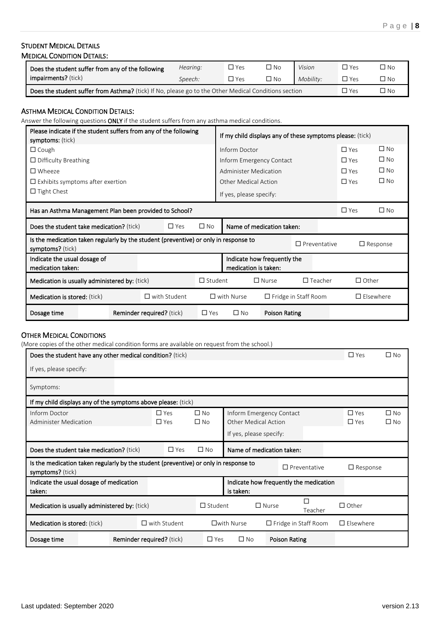# STUDENT MEDICAL DETAILS

|  | <b>MEDICAL CONDITION DETAILS:</b> |
|--|-----------------------------------|
|--|-----------------------------------|

| Does the student suffer from any of the following                                                           | Hearing: | $\Box$ Yes | $\Box$ No | Vision    | $\Box$ Yes | ON C        |
|-------------------------------------------------------------------------------------------------------------|----------|------------|-----------|-----------|------------|-------------|
| <b>impairments?</b> (tick)                                                                                  | Speech:  | $\Box$ Yes | $\Box$ No | Mobility: | □ Yes      | $\nabla$ No |
| <b>Does the student suffer from Asthma?</b> (tick) If No, please go to the Other Medical Conditions section |          |            |           |           | □ Yes      | ON L'       |

## ASTHMA MEDICAL CONDITION DETAILS:

Answer the following questions ONLY if the student suffers from any asthma medical conditions.

| Please indicate if the student suffers from any of the following<br>symptoms: (tick)                     |                                  |                     |                |                              |                             | If my child displays any of these symptoms please: (tick) |              |                  |
|----------------------------------------------------------------------------------------------------------|----------------------------------|---------------------|----------------|------------------------------|-----------------------------|-----------------------------------------------------------|--------------|------------------|
| $\Box$ Cough                                                                                             |                                  |                     |                | Inform Doctor                |                             |                                                           | $\Box$ Yes   | $\Box$ No        |
| $\Box$ Difficulty Breathing                                                                              |                                  |                     |                | Inform Emergency Contact     |                             |                                                           | $\Box$ Yes   | $\square$ No     |
| $\square$ Wheeze                                                                                         |                                  |                     |                | <b>Administer Medication</b> |                             |                                                           | $\Box$ Yes   | $\square$ No     |
| $\Box$ Exhibits symptoms after exertion                                                                  |                                  |                     |                | Other Medical Action         |                             |                                                           | $\Box$ Yes   | $\square$ No     |
| $\Box$ Tight Chest                                                                                       |                                  |                     |                | If yes, please specify:      |                             |                                                           |              |                  |
| Has an Asthma Management Plan been provided to School?                                                   |                                  |                     |                |                              |                             |                                                           | $\Box$ Yes   | $\square$ No     |
| Does the student take medication? (tick)                                                                 |                                  | $\Box$ Yes          | $\square$ No   |                              | Name of medication taken:   |                                                           |              |                  |
| Is the medication taken regularly by the student (preventive) or only in response to<br>symptoms? (tick) |                                  |                     |                |                              |                             | $\Box$ Preventative                                       |              | $\Box$ Response  |
| Indicate the usual dosage of<br>medication taken:                                                        |                                  |                     |                | medication is taken:         | Indicate how frequently the |                                                           |              |                  |
| <b>Medication is usually administered by:</b> (tick)                                                     |                                  |                     | $\Box$ Student |                              | $\Box$ Nurse                | $\Box$ Teacher                                            | $\Box$ Other |                  |
| <b>Medication is stored:</b> (tick)                                                                      |                                  | $\Box$ with Student |                | $\Box$ with Nurse            |                             | $\Box$ Fridge in Staff Room                               |              | $\Box$ Elsewhere |
| Dosage time                                                                                              | <b>Reminder required?</b> (tick) |                     | $\Box$ Yes     | $\square$ No                 | Poison Rating               |                                                           |              |                  |

#### OTHER MEDICAL CONDITIONS

(More copies of the other medical condition forms are available on request from the school.)

| Does the student have any other medical condition? (tick)                                                |                                  |                          |                              |                                                                             |                                        | $\Box$ Yes               | $\Box$ No                    |
|----------------------------------------------------------------------------------------------------------|----------------------------------|--------------------------|------------------------------|-----------------------------------------------------------------------------|----------------------------------------|--------------------------|------------------------------|
| If yes, please specify:                                                                                  |                                  |                          |                              |                                                                             |                                        |                          |                              |
| Symptoms:                                                                                                |                                  |                          |                              |                                                                             |                                        |                          |                              |
| If my child displays any of the symptoms above please: (tick)                                            |                                  |                          |                              |                                                                             |                                        |                          |                              |
| Inform Doctor<br>Administer Medication                                                                   |                                  | $\Box$ Yes<br>$\Box$ Yes | $\square$ No<br>$\square$ No | Inform Emergency Contact<br>Other Medical Action<br>If yes, please specify: |                                        | $\Box$ Yes<br>$\Box$ Yes | $\square$ No<br>$\square$ No |
| Does the student take medication? (tick)                                                                 |                                  | $\Box$ Yes               | $\square$ No                 | Name of medication taken:                                                   |                                        |                          |                              |
| Is the medication taken regularly by the student (preventive) or only in response to<br>symptoms? (tick) |                                  |                          |                              |                                                                             | $\Box$ Preventative                    | $\Box$ Response          |                              |
| Indicate the usual dosage of medication<br>taken:                                                        |                                  |                          |                              | is taken:                                                                   | Indicate how frequently the medication |                          |                              |
| Medication is usually administered by: (tick)                                                            |                                  |                          | $\Box$ Student               | $\Box$ Nurse                                                                | Teacher                                | $\Box$ Other             |                              |
| <b>Medication is stored:</b> (tick)                                                                      |                                  | $\Box$ with Student      |                              | $\square$ with Nurse                                                        | $\Box$ Fridge in Staff Room            | $\Box$ Elsewhere         |                              |
| Dosage time                                                                                              | <b>Reminder required?</b> (tick) |                          | $\Box$ Yes                   | $\square$ No                                                                | Poison Rating                          |                          |                              |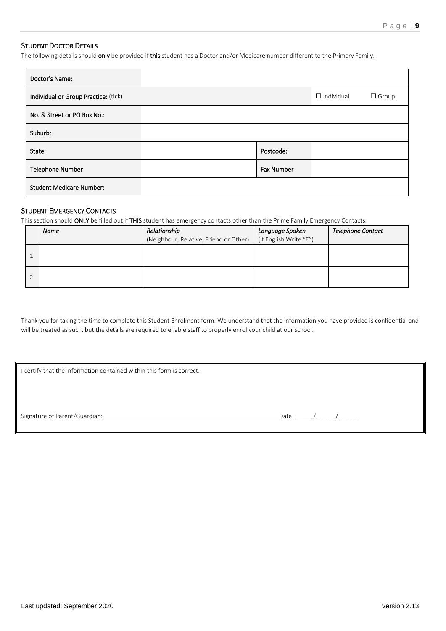#### STUDENT DOCTOR DETAILS

The following details should only be provided if this student has a Doctor and/or Medicare number different to the Primary Family.

| Doctor's Name:                       |                   |                   |              |
|--------------------------------------|-------------------|-------------------|--------------|
| Individual or Group Practice: (tick) |                   | $\Box$ Individual | $\Box$ Group |
| No. & Street or PO Box No.:          |                   |                   |              |
| Suburb:                              |                   |                   |              |
| State:                               | Postcode:         |                   |              |
| <b>Telephone Number</b>              | <b>Fax Number</b> |                   |              |
| <b>Student Medicare Number:</b>      |                   |                   |              |

#### STUDENT EMERGENCY CONTACTS

This section should ONLY be filled out if THIS student has emergency contacts other than the Prime Family Emergency Contacts.

| Name | Relationship<br>(Neighbour, Relative, Friend or Other) | Language Spoken<br>(If English Write "E") | <b>Telephone Contact</b> |
|------|--------------------------------------------------------|-------------------------------------------|--------------------------|
|      |                                                        |                                           |                          |
|      |                                                        |                                           |                          |

Thank you for taking the time to complete this Student Enrolment form. We understand that the information you have provided is confidential and will be treated as such, but the details are required to enable staff to properly enrol your child at our school.

I certify that the information contained within this form is correct.

Signature of Parent/Guardian: Date: \_\_\_\_\_ / \_\_\_\_\_ / \_\_\_\_\_\_